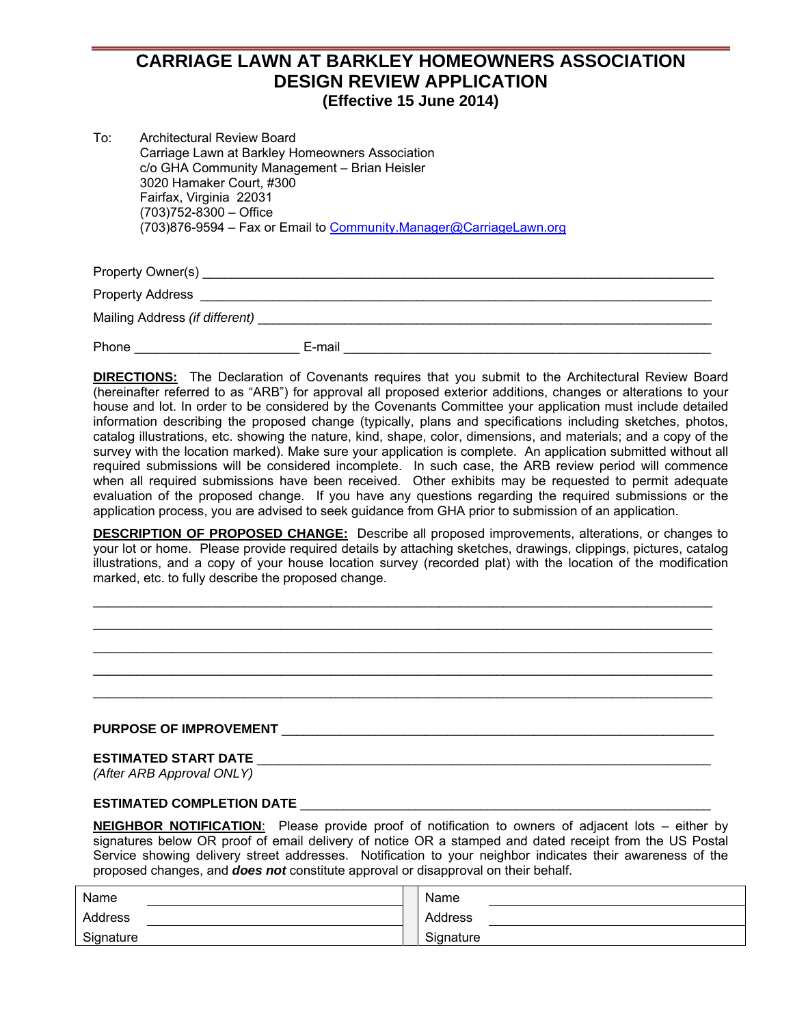# **CARRIAGE LAWN AT BARKLEY HOMEOWNERS ASSOCIATION DESIGN REVIEW APPLICATION (Effective 15 June 2014)**

| To: | <b>Architectural Review Board</b>                                  |
|-----|--------------------------------------------------------------------|
|     | Carriage Lawn at Barkley Homeowners Association                    |
|     | c/o GHA Community Management - Brian Heisler                       |
|     | 3020 Hamaker Court, #300                                           |
|     | Fairfax, Virginia 22031                                            |
|     | $(703)752 - 8300 -$ Office                                         |
|     | (703)876-9594 – Fax or Email to Community.Manager@CarriageLawn.org |

Property Owner(s) example of the state of the state of the state of the state of the state of the state of the state of the state of the state of the state of the state of the state of the state of the state of the state o

Property Address \_\_\_\_\_\_\_\_\_\_\_\_\_\_\_\_\_\_\_\_\_\_\_\_\_\_\_\_\_\_\_\_\_\_\_\_\_\_\_\_\_\_\_\_\_\_\_\_\_\_\_\_\_\_\_\_\_\_\_\_\_\_\_\_\_\_\_\_\_\_\_

Mailing Address *(if different)* \_\_\_\_\_\_\_\_\_\_\_\_\_\_\_\_\_\_\_\_\_\_\_\_\_\_\_\_\_\_\_\_\_\_\_\_\_\_\_\_\_\_\_\_\_\_\_\_\_\_\_\_\_\_\_\_\_\_\_\_\_\_\_

Phone \_\_\_\_\_\_\_\_\_\_\_\_\_\_\_\_\_\_\_\_\_\_\_\_\_\_\_\_\_\_\_\_\_\_E-mail \_\_\_\_\_\_\_\_\_\_\_\_\_\_\_\_\_\_\_\_\_\_\_\_\_\_\_\_\_\_\_\_\_\_

**DIRECTIONS:** The Declaration of Covenants requires that you submit to the Architectural Review Board (hereinafter referred to as "ARB") for approval all proposed exterior additions, changes or alterations to your house and lot. In order to be considered by the Covenants Committee your application must include detailed information describing the proposed change (typically, plans and specifications including sketches, photos, catalog illustrations, etc. showing the nature, kind, shape, color, dimensions, and materials; and a copy of the survey with the location marked). Make sure your application is complete. An application submitted without all required submissions will be considered incomplete. In such case, the ARB review period will commence when all required submissions have been received. Other exhibits may be requested to permit adequate evaluation of the proposed change. If you have any questions regarding the required submissions or the application process, you are advised to seek guidance from GHA prior to submission of an application.

**DESCRIPTION OF PROPOSED CHANGE:** Describe all proposed improvements, alterations, or changes to your lot or home. Please provide required details by attaching sketches, drawings, clippings, pictures, catalog illustrations, and a copy of your house location survey (recorded plat) with the location of the modification marked, etc. to fully describe the proposed change.

 $\_$  , and the set of the set of the set of the set of the set of the set of the set of the set of the set of the set of the set of the set of the set of the set of the set of the set of the set of the set of the set of th  $\mathcal{L}_\text{max}$  , and the contribution of the contribution of the contribution of the contribution of the contribution of the contribution of the contribution of the contribution of the contribution of the contribution of t  $\_$  , and the set of the set of the set of the set of the set of the set of the set of the set of the set of the set of the set of the set of the set of the set of the set of the set of the set of the set of the set of th  $\_$  , and the set of the set of the set of the set of the set of the set of the set of the set of the set of the set of the set of the set of the set of the set of the set of the set of the set of the set of the set of th  $\mathcal{L}_\text{max}$  , and the contribution of the contribution of the contribution of the contribution of the contribution of the contribution of the contribution of the contribution of the contribution of the contribution of t

### **PURPOSE OF IMPROVEMENT** \_\_\_\_\_\_\_\_\_\_\_\_\_\_\_\_\_\_\_\_\_\_\_\_\_\_\_\_\_\_\_\_\_\_\_\_\_\_\_\_\_\_\_\_\_\_\_\_\_\_\_\_\_\_\_\_\_\_\_\_

### **ESTIMATED START DATE** \_\_\_\_\_\_\_\_\_\_\_\_\_\_\_\_\_\_\_\_\_\_\_\_\_\_\_\_\_\_\_\_\_\_\_\_\_\_\_\_\_\_\_\_\_\_\_\_\_\_\_\_\_\_\_\_\_\_\_\_\_\_\_

*(After ARB Approval ONLY)* 

## **ESTIMATED COMPLETION DATE** \_\_\_\_\_\_\_\_\_\_\_\_\_\_\_\_\_\_\_\_\_\_\_\_\_\_\_\_\_\_\_\_\_\_\_\_\_\_\_\_\_\_\_\_\_\_\_\_\_\_\_\_\_\_\_\_\_

**NEIGHBOR NOTIFICATION**: Please provide proof of notification to owners of adjacent lots – either by signatures below OR proof of email delivery of notice OR a stamped and dated receipt from the US Postal Service showing delivery street addresses. Notification to your neighbor indicates their awareness of the proposed changes, and *does not* constitute approval or disapproval on their behalf.

| Name      | Name      |
|-----------|-----------|
| Address   | Address   |
| Signature | Signature |